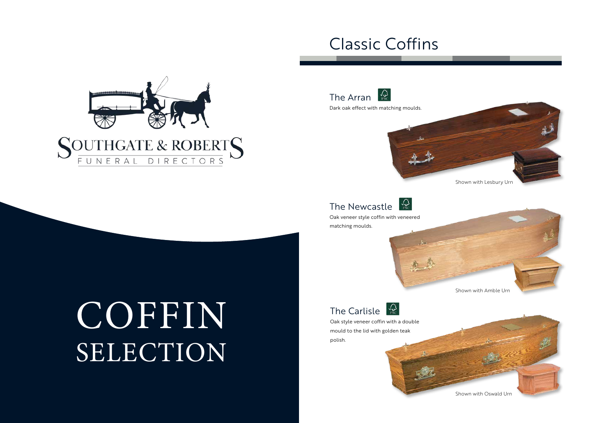# COFFIN SELECTION



#### $\mathcal{L}_{\text{PSC}}$ The Newcastle

### Classic Coffins



Oak veneer style coffin with veneered matching moulds.



The Carlisle  $\sqrt{\frac{1}{126}}$ 



Oak style veneer coffin with a double mould to the lid with golden teak polish.





Shown with Oswald Urn



Dark oak effect with matching moulds.

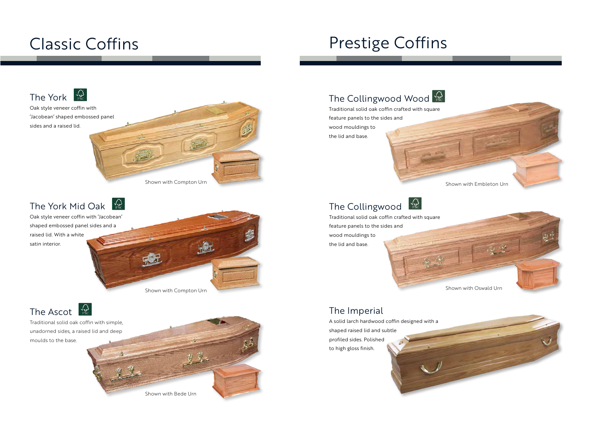## Classic Coffins



Oak style veneer coffin with 'Jacobean' shaped embossed panel sides and a raised lid.

Shown with Compton Urn



Traditional solid oak coffin with simple, unadorned sides, a raised lid and deep moulds to the base.



#### $\sqrt{\mathcal{Q}}$ The Collingwood

Oak style veneer coffin with 'Jacobean' shaped embossed panel sides and a raised lid. With a white satin interior.

Shown with Compton Urn

Shown with Bede Urn

### The Collingwood Wood

## Prestige Coffins

Traditional solid oak coffin crafted with square feature panels to the sides and wood mouldings to the lid and base.





Traditional solid oak coffin crafted with square feature panels to the sides and wood mouldings to the lid and base.



A solid larch hardwood coffin designed with a

shaped raised lid and subtle profiled sides. Polished to high gloss finish.